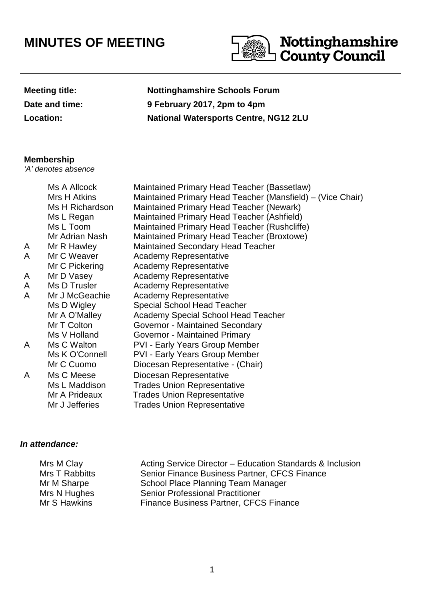## **MINUTES OF MEETING**



| <b>Meeting title:</b> |
|-----------------------|
| Date and time:        |
| <b>Location:</b>      |

**Nottinghamshire Schools Forum Date and time: 9 February 2017, 2pm to 4pm Location: National Watersports Centre, NG12 2LU**

## **Membership**

'A' denotes absence

|   | Ms A Allcock<br>Mrs H Atkins | Maintained Primary Head Teacher (Bassetlaw)<br>Maintained Primary Head Teacher (Mansfield) – (Vice Chair) |
|---|------------------------------|-----------------------------------------------------------------------------------------------------------|
|   | Ms H Richardson              | Maintained Primary Head Teacher (Newark)                                                                  |
|   | Ms L Regan                   | Maintained Primary Head Teacher (Ashfield)                                                                |
|   | Ms L Toom                    | Maintained Primary Head Teacher (Rushcliffe)                                                              |
|   | Mr Adrian Nash               | Maintained Primary Head Teacher (Broxtowe)                                                                |
| A | Mr R Hawley                  | <b>Maintained Secondary Head Teacher</b>                                                                  |
| A | Mr C Weaver                  | <b>Academy Representative</b>                                                                             |
|   | Mr C Pickering               | <b>Academy Representative</b>                                                                             |
| A | Mr D Vasey                   | <b>Academy Representative</b>                                                                             |
| A | Ms D Trusler                 | Academy Representative                                                                                    |
| A | Mr J McGeachie               | <b>Academy Representative</b>                                                                             |
|   | Ms D Wigley                  | <b>Special School Head Teacher</b>                                                                        |
|   | Mr A O'Malley                | Academy Special School Head Teacher                                                                       |
|   | Mr T Colton                  | Governor - Maintained Secondary                                                                           |
|   | Ms V Holland                 | Governor - Maintained Primary                                                                             |
| A | Ms C Walton                  | <b>PVI - Early Years Group Member</b>                                                                     |
|   | Ms K O'Connell               | <b>PVI - Early Years Group Member</b>                                                                     |
|   | Mr C Cuomo                   | Diocesan Representative - (Chair)                                                                         |
| A | Ms C Meese                   | Diocesan Representative                                                                                   |
|   | Ms L Maddison                | <b>Trades Union Representative</b>                                                                        |
|   | Mr A Prideaux                | <b>Trades Union Representative</b>                                                                        |
|   | Mr J Jefferies               | <b>Trades Union Representative</b>                                                                        |
|   |                              |                                                                                                           |

## **In attendance:**

| Mrs M Clay     | Acting Service Director - Education Standards & Inclusion |
|----------------|-----------------------------------------------------------|
| Mrs T Rabbitts | Senior Finance Business Partner, CFCS Finance             |
| Mr M Sharpe    | School Place Planning Team Manager                        |
| Mrs N Hughes   | <b>Senior Professional Practitioner</b>                   |
| Mr S Hawkins   | Finance Business Partner, CFCS Finance                    |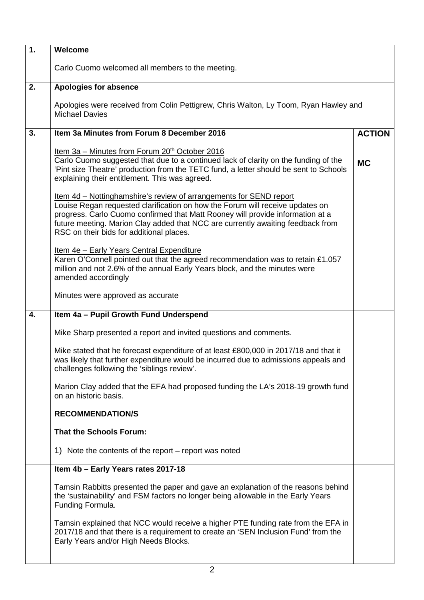| Welcome                                                                                                                                                                                                                                                                                                                                                              |           |  |
|----------------------------------------------------------------------------------------------------------------------------------------------------------------------------------------------------------------------------------------------------------------------------------------------------------------------------------------------------------------------|-----------|--|
| Carlo Cuomo welcomed all members to the meeting.                                                                                                                                                                                                                                                                                                                     |           |  |
| <b>Apologies for absence</b>                                                                                                                                                                                                                                                                                                                                         |           |  |
| Apologies were received from Colin Pettigrew, Chris Walton, Ly Toom, Ryan Hawley and<br><b>Michael Davies</b>                                                                                                                                                                                                                                                        |           |  |
| Item 3a Minutes from Forum 8 December 2016<br><b>ACTION</b>                                                                                                                                                                                                                                                                                                          |           |  |
| <u>Item 3a – Minutes from Forum 20<sup>th</sup> October 2016</u><br>Carlo Cuomo suggested that due to a continued lack of clarity on the funding of the<br>'Pint size Theatre' production from the TETC fund, a letter should be sent to Schools<br>explaining their entitlement. This was agreed.                                                                   | <b>MC</b> |  |
| Item 4d - Nottinghamshire's review of arrangements for SEND report<br>Louise Regan requested clarification on how the Forum will receive updates on<br>progress. Carlo Cuomo confirmed that Matt Rooney will provide information at a<br>future meeting. Marion Clay added that NCC are currently awaiting feedback from<br>RSC on their bids for additional places. |           |  |
| Item 4e - Early Years Central Expenditure<br>Karen O'Connell pointed out that the agreed recommendation was to retain £1.057<br>million and not 2.6% of the annual Early Years block, and the minutes were<br>amended accordingly                                                                                                                                    |           |  |
| Minutes were approved as accurate                                                                                                                                                                                                                                                                                                                                    |           |  |
| Item 4a - Pupil Growth Fund Underspend                                                                                                                                                                                                                                                                                                                               |           |  |
| Mike Sharp presented a report and invited questions and comments.                                                                                                                                                                                                                                                                                                    |           |  |
| Mike stated that he forecast expenditure of at least £800,000 in 2017/18 and that it<br>was likely that further expenditure would be incurred due to admissions appeals and<br>challenges following the 'siblings review'.                                                                                                                                           |           |  |
| Marion Clay added that the EFA had proposed funding the LA's 2018-19 growth fund<br>on an historic basis.                                                                                                                                                                                                                                                            |           |  |
| <b>RECOMMENDATION/S</b>                                                                                                                                                                                                                                                                                                                                              |           |  |
| <b>That the Schools Forum:</b>                                                                                                                                                                                                                                                                                                                                       |           |  |
| 1) Note the contents of the report – report was noted                                                                                                                                                                                                                                                                                                                |           |  |
| Item 4b - Early Years rates 2017-18                                                                                                                                                                                                                                                                                                                                  |           |  |
| Tamsin Rabbitts presented the paper and gave an explanation of the reasons behind<br>the 'sustainability' and FSM factors no longer being allowable in the Early Years<br>Funding Formula.                                                                                                                                                                           |           |  |
| Tamsin explained that NCC would receive a higher PTE funding rate from the EFA in<br>2017/18 and that there is a requirement to create an 'SEN Inclusion Fund' from the<br>Early Years and/or High Needs Blocks.                                                                                                                                                     |           |  |
|                                                                                                                                                                                                                                                                                                                                                                      |           |  |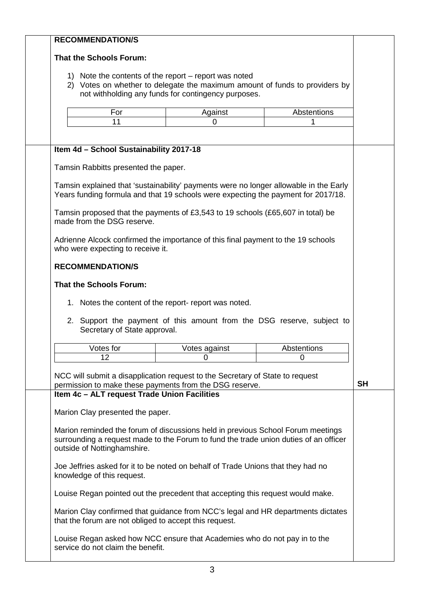| <b>That the Schools Forum:</b>                                                                                                       |                                                                                                        |                  |           |
|--------------------------------------------------------------------------------------------------------------------------------------|--------------------------------------------------------------------------------------------------------|------------------|-----------|
|                                                                                                                                      |                                                                                                        |                  |           |
|                                                                                                                                      |                                                                                                        |                  |           |
| 1) Note the contents of the report – report was noted<br>2) Votes on whether to delegate the maximum amount of funds to providers by |                                                                                                        |                  |           |
| not withholding any funds for contingency purposes.                                                                                  |                                                                                                        |                  |           |
| For                                                                                                                                  | Against                                                                                                | Abstentions      |           |
| 11                                                                                                                                   | 0                                                                                                      |                  |           |
|                                                                                                                                      |                                                                                                        |                  |           |
| Item 4d - School Sustainability 2017-18                                                                                              |                                                                                                        |                  |           |
|                                                                                                                                      |                                                                                                        |                  |           |
| Tamsin Rabbitts presented the paper.                                                                                                 |                                                                                                        |                  |           |
| Tamsin explained that 'sustainability' payments were no longer allowable in the Early                                                |                                                                                                        |                  |           |
| Years funding formula and that 19 schools were expecting the payment for 2017/18.                                                    |                                                                                                        |                  |           |
| Tamsin proposed that the payments of £3,543 to 19 schools (£65,607 in total) be                                                      |                                                                                                        |                  |           |
| made from the DSG reserve.                                                                                                           |                                                                                                        |                  |           |
| Adrienne Alcock confirmed the importance of this final payment to the 19 schools                                                     |                                                                                                        |                  |           |
| who were expecting to receive it.                                                                                                    |                                                                                                        |                  |           |
| <b>RECOMMENDATION/S</b>                                                                                                              |                                                                                                        |                  |           |
|                                                                                                                                      |                                                                                                        |                  |           |
| <b>That the Schools Forum:</b>                                                                                                       |                                                                                                        |                  |           |
| 1. Notes the content of the report- report was noted.                                                                                |                                                                                                        |                  |           |
|                                                                                                                                      |                                                                                                        |                  |           |
|                                                                                                                                      | 2. Support the payment of this amount from the DSG reserve, subject to<br>Secretary of State approval. |                  |           |
| Votes for                                                                                                                            |                                                                                                        |                  |           |
|                                                                                                                                      |                                                                                                        |                  |           |
| 12                                                                                                                                   | Votes against<br>0                                                                                     | Abstentions<br>0 |           |
|                                                                                                                                      |                                                                                                        |                  |           |
| NCC will submit a disapplication request to the Secretary of State to request                                                        |                                                                                                        |                  | <b>SH</b> |
| permission to make these payments from the DSG reserve.<br>Item 4c - ALT request Trade Union Facilities                              |                                                                                                        |                  |           |
|                                                                                                                                      |                                                                                                        |                  |           |
| Marion Clay presented the paper.                                                                                                     |                                                                                                        |                  |           |
| Marion reminded the forum of discussions held in previous School Forum meetings                                                      |                                                                                                        |                  |           |
| surrounding a request made to the Forum to fund the trade union duties of an officer                                                 |                                                                                                        |                  |           |
| outside of Nottinghamshire.                                                                                                          |                                                                                                        |                  |           |
| Joe Jeffries asked for it to be noted on behalf of Trade Unions that they had no                                                     |                                                                                                        |                  |           |
| knowledge of this request.                                                                                                           |                                                                                                        |                  |           |
| Louise Regan pointed out the precedent that accepting this request would make.                                                       |                                                                                                        |                  |           |
| Marion Clay confirmed that guidance from NCC's legal and HR departments dictates                                                     |                                                                                                        |                  |           |
| that the forum are not obliged to accept this request.                                                                               |                                                                                                        |                  |           |
| Louise Regan asked how NCC ensure that Academies who do not pay in to the                                                            |                                                                                                        |                  |           |
| service do not claim the benefit.                                                                                                    |                                                                                                        |                  |           |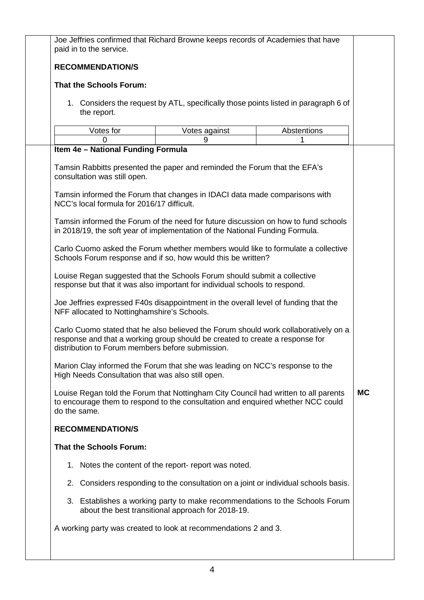| Joe Jeffries confirmed that Richard Browne keeps records of Academies that have<br>paid in to the service.                                                                                                              |                                                                                                                                  |             |           |
|-------------------------------------------------------------------------------------------------------------------------------------------------------------------------------------------------------------------------|----------------------------------------------------------------------------------------------------------------------------------|-------------|-----------|
| <b>RECOMMENDATION/S</b>                                                                                                                                                                                                 |                                                                                                                                  |             |           |
| <b>That the Schools Forum:</b>                                                                                                                                                                                          |                                                                                                                                  |             |           |
| 1. Considers the request by ATL, specifically those points listed in paragraph 6 of<br>the report.                                                                                                                      |                                                                                                                                  |             |           |
| Votes for                                                                                                                                                                                                               | Votes against                                                                                                                    | Abstentions |           |
| O<br>Item 4e - National Funding Formula                                                                                                                                                                                 | 9                                                                                                                                |             |           |
| Tamsin Rabbitts presented the paper and reminded the Forum that the EFA's<br>consultation was still open.                                                                                                               |                                                                                                                                  |             |           |
| Tamsin informed the Forum that changes in IDACI data made comparisons with<br>NCC's local formula for 2016/17 difficult.                                                                                                |                                                                                                                                  |             |           |
| Tamsin informed the Forum of the need for future discussion on how to fund schools<br>in 2018/19, the soft year of implementation of the National Funding Formula.                                                      |                                                                                                                                  |             |           |
| Carlo Cuomo asked the Forum whether members would like to formulate a collective<br>Schools Forum response and if so, how would this be written?                                                                        |                                                                                                                                  |             |           |
| Louise Regan suggested that the Schools Forum should submit a collective<br>response but that it was also important for individual schools to respond.                                                                  |                                                                                                                                  |             |           |
| Joe Jeffries expressed F40s disappointment in the overall level of funding that the<br>NFF allocated to Nottinghamshire's Schools.                                                                                      |                                                                                                                                  |             |           |
| Carlo Cuomo stated that he also believed the Forum should work collaboratively on a<br>response and that a working group should be created to create a response for<br>distribution to Forum members before submission. |                                                                                                                                  |             |           |
| Marion Clay informed the Forum that she was leading on NCC's response to the<br>High Needs Consultation that was also still open.                                                                                       |                                                                                                                                  |             |           |
| Louise Regan told the Forum that Nottingham City Council had written to all parents<br>to encourage them to respond to the consultation and enquired whether NCC could<br>do the same.                                  |                                                                                                                                  |             | <b>MC</b> |
| <b>RECOMMENDATION/S</b>                                                                                                                                                                                                 |                                                                                                                                  |             |           |
| <b>That the Schools Forum:</b>                                                                                                                                                                                          |                                                                                                                                  |             |           |
|                                                                                                                                                                                                                         | 1. Notes the content of the report- report was noted.                                                                            |             |           |
|                                                                                                                                                                                                                         | 2. Considers responding to the consultation on a joint or individual schools basis.                                              |             |           |
|                                                                                                                                                                                                                         | 3. Establishes a working party to make recommendations to the Schools Forum<br>about the best transitional approach for 2018-19. |             |           |
| A working party was created to look at recommendations 2 and 3.                                                                                                                                                         |                                                                                                                                  |             |           |
|                                                                                                                                                                                                                         |                                                                                                                                  |             |           |